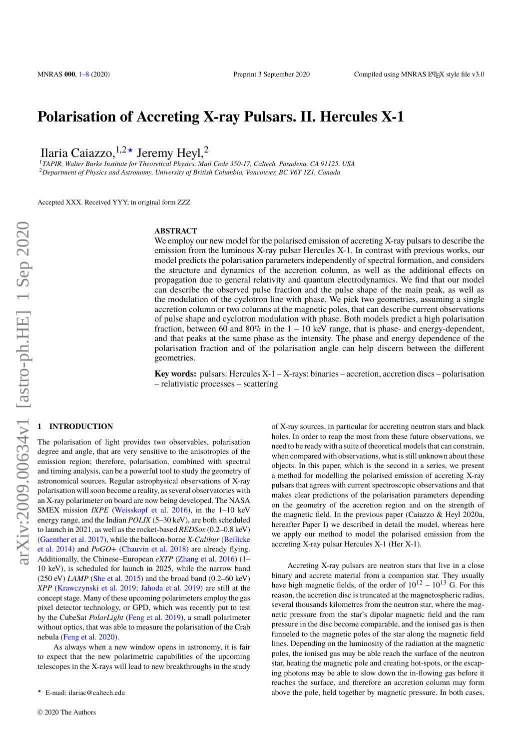# **Polarisation of Accreting X-ray Pulsars. II. Hercules X-1**

Ilaria Caiazzo,  $1,2*$  Jeremy Heyl, 2

<sup>1</sup>*TAPIR, Walter Burke Institute for Theoretical Physics, Mail Code 350-17, Caltech, Pasadena, CA 91125, USA* <sup>2</sup>*Department of Physics and Astronomy, University of British Columbia, Vancouver, BC V6T 1Z1, Canada*

Accepted XXX. Received YYY; in original form ZZZ

## **ABSTRACT**

We employ our new model for the polarised emission of accreting X-ray pulsars to describe the emission from the luminous X-ray pulsar Hercules X-1. In contrast with previous works, our model predicts the polarisation parameters independently of spectral formation, and considers the structure and dynamics of the accretion column, as well as the additional effects on propagation due to general relativity and quantum electrodynamics. We find that our model can describe the observed pulse fraction and the pulse shape of the main peak, as well as the modulation of the cyclotron line with phase. We pick two geometries, assuming a single accretion column or two columns at the magnetic poles, that can describe current observations of pulse shape and cyclotron modulation with phase. Both models predict a high polarisation fraction, between 60 and 80% in the  $1 - 10$  keV range, that is phase- and energy-dependent, and that peaks at the same phase as the intensity. The phase and energy dependence of the polarisation fraction and of the polarisation angle can help discern between the different geometries.

**Key words:** pulsars: Hercules X-1 – X-rays: binaries – accretion, accretion discs – polarisation – relativistic processes – scattering

### <span id="page-0-0"></span>**1 INTRODUCTION**

The polarisation of light provides two observables, polarisation degree and angle, that are very sensitive to the anisotropies of the emission region; therefore, polarisation, combined with spectral and timing analysis, can be a powerful tool to study the geometry of astronomical sources. Regular astrophysical observations of X-ray polarisation will soon become a reality, as several observatories with an X-ray polarimeter on board are now being developed. The NASA SMEX mission *IXPE* [\(Weisskopf et al.](#page-7-0) [2016\)](#page-7-0), in the 1–10 keV energy range, and the Indian *POLIX* (5–30 keV), are both scheduled to launch in 2021, as well as the rocket-based *REDSox* (0.2–0.8 keV) [\(Gaenther et al.](#page-6-1) [2017\)](#page-6-1), while the balloon-borne *X-Calibur* [\(Beilicke](#page-6-2) [et al.](#page-6-2) [2014\)](#page-6-2) and *PoGO+* [\(Chauvin et al.](#page-6-3) [2018\)](#page-6-3) are already flying. Additionally, the Chinese–European *eXTP* [\(Zhang et al.](#page-7-1) [2016\)](#page-7-1) (1– 10 keV), is scheduled for launch in 2025, while the narrow band (250 eV) *LAMP* [\(She et al.](#page-7-2) [2015\)](#page-7-2) and the broad band (0.2–60 keV) *XPP* [\(Krawczynski et al.](#page-6-4) [2019;](#page-6-4) [Jahoda et al.](#page-6-5) [2019\)](#page-6-5) are still at the concept stage. Many of these upcoming polarimeters employ the gas pixel detector technology, or GPD, which was recently put to test by the CubeSat *PolarLight* [\(Feng et al.](#page-6-6) [2019\)](#page-6-6), a small polarimeter without optics, that was able to measure the polarisation of the Crab nebula [\(Feng et al.](#page-6-7) [2020\)](#page-6-7).

As always when a new window opens in astronomy, it is fair to expect that the new polarimetric capabilities of the upcoming telescopes in the X-rays will lead to new breakthroughs in the study

of X-ray sources, in particular for accreting neutron stars and black holes. In order to reap the most from these future observations, we need to be ready with a suite of theoretical models that can constrain, when compared with observations, what is still unknown about these objects. In this paper, which is the second in a series, we present a method for modelling the polarised emission of accreting X-ray pulsars that agrees with current spectroscopic observations and that makes clear predictions of the polarisation parameters depending on the geometry of the accretion region and on the strength of the magnetic field. In the previous paper (Caiazzo & Heyl 2020a, hereafter Paper I) we described in detail the model, whereas here we apply our method to model the polarised emission from the accreting X-ray pulsar Hercules X-1 (Her X-1).

Accreting X-ray pulsars are neutron stars that live in a close binary and accrete material from a companion star. They usually have high magnetic fields, of the order of  $10^{12} - 10^{13}$  G. For this reason, the accretion disc is truncated at the magnetospheric radius, several thousands kilometres from the neutron star, where the magnetic pressure from the star's dipolar magnetic field and the ram pressure in the disc become comparable, and the ionised gas is then funneled to the magnetic poles of the star along the magnetic field lines. Depending on the luminosity of the radiation at the magnetic poles, the ionised gas may be able reach the surface of the neutron star, heating the magnetic pole and creating hot-spots, or the escaping photons may be able to slow down the in-flowing gas before it reaches the surface, and therefore an accretion column may form above the pole, held together by magnetic pressure. In both cases,

<sup>?</sup> E-mail: ilariac@caltech.edu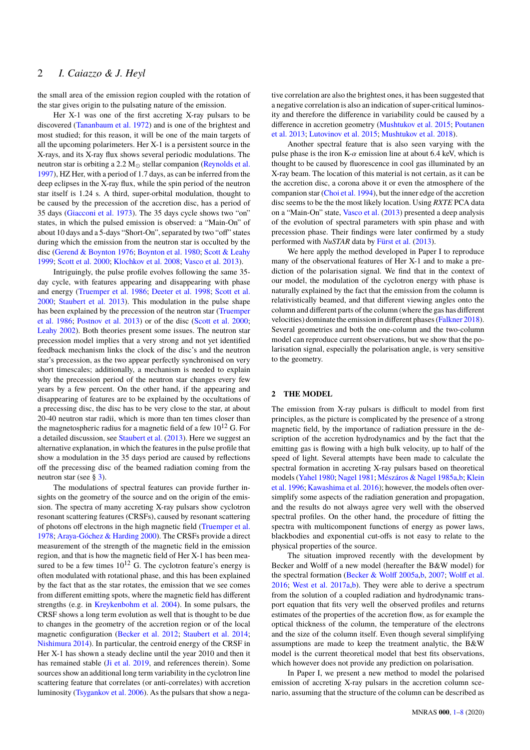the small area of the emission region coupled with the rotation of the star gives origin to the pulsating nature of the emission.

Her X-1 was one of the first accreting X-ray pulsars to be discovered [\(Tananbaum et al.](#page-7-3) [1972\)](#page-7-3) and is one of the brightest and most studied; for this reason, it will be one of the main targets of all the upcoming polarimeters. Her X-1 is a persistent source in the X-rays, and its X-ray flux shows several periodic modulations. The neutron star is orbiting a  $2.2 M_{\odot}$  stellar companion [\(Reynolds et al.](#page-7-4) [1997\)](#page-7-4), HZ Her, with a period of 1.7 days, as can be inferred from the deep eclipses in the X-ray flux, while the spin period of the neutron star itself is 1.24 s. A third, super-orbital modulation, thought to be caused by the precession of the accretion disc, has a period of 35 days [\(Giacconi et al.](#page-6-8) [1973\)](#page-6-8). The 35 days cycle shows two "on" states, in which the pulsed emission is observed: a "Main-On" of about 10 days and a 5-days "Short-On", separated by two "off" states during which the emission from the neutron star is occulted by the disc [\(Gerend & Boynton](#page-6-9) [1976;](#page-6-9) [Boynton et al.](#page-6-10) [1980;](#page-6-10) [Scott & Leahy](#page-7-5) [1999;](#page-7-5) [Scott et al.](#page-7-6) [2000;](#page-7-6) [Klochkov et al.](#page-6-11) [2008;](#page-6-11) [Vasco et al.](#page-7-7) [2013\)](#page-7-7).

Intriguingly, the pulse profile evolves following the same 35 day cycle, with features appearing and disappearing with phase and energy [\(Truemper et al.](#page-7-8) [1986;](#page-7-8) [Deeter et al.](#page-6-12) [1998;](#page-6-12) [Scott et al.](#page-7-6) [2000;](#page-7-6) [Staubert et al.](#page-7-9) [2013\)](#page-7-9). This modulation in the pulse shape has been explained by the precession of the neutron star [\(Truemper](#page-7-8) [et al.](#page-7-8) [1986;](#page-7-8) [Postnov et al.](#page-7-10) [2013\)](#page-7-10) or of the disc [\(Scott et al.](#page-7-6) [2000;](#page-7-6) [Leahy](#page-6-13) [2002\)](#page-6-13). Both theories present some issues. The neutron star precession model implies that a very strong and not yet identified feedback mechanism links the clock of the disc's and the neutron star's precession, as the two appear perfectly synchronised on very short timescales; additionally, a mechanism is needed to explain why the precession period of the neutron star changes every few years by a few percent. On the other hand, if the appearing and disappearing of features are to be explained by the occultations of a precessing disc, the disc has to be very close to the star, at about 20-40 neutron star radii, which is more than ten times closer than the magnetospheric radius for a magnetic field of a few  $10^{12}$  G. For a detailed discussion, see [Staubert et al.](#page-7-9) [\(2013\)](#page-7-9). Here we suggest an alternative explanation, in which the features in the pulse profile that show a modulation in the 35 days period are caused by reflections off the precessing disc of the beamed radiation coming from the neutron star (see § [3\)](#page-2-0).

The modulations of spectral features can provide further insights on the geometry of the source and on the origin of the emission. The spectra of many accreting X-ray pulsars show cyclotron resonant scattering features (CRSFs), caused by resonant scattering of photons off electrons in the high magnetic field [\(Truemper et al.](#page-7-11) [1978;](#page-7-11) [Araya-Góchez & Harding](#page-6-14) [2000\)](#page-6-14). The CRSFs provide a direct measurement of the strength of the magnetic field in the emission region, and that is how the magnetic field of Her X-1 has been measured to be a few times  $10^{12}$  G. The cyclotron feature's energy is often modulated with rotational phase, and this has been explained by the fact that as the star rotates, the emission that we see comes from different emitting spots, where the magnetic field has different strengths (e.g. in [Kreykenbohm et al.](#page-6-15) [2004\)](#page-6-15). In some pulsars, the CRSF shows a long term evolution as well that is thought to be due to changes in the geometry of the accretion region or of the local magnetic configuration [\(Becker et al.](#page-6-16) [2012;](#page-6-16) [Staubert et al.](#page-7-12) [2014;](#page-7-12) [Nishimura](#page-7-13) [2014\)](#page-7-13). In particular, the centroid energy of the CRSF in Her X-1 has shown a steady decline until the year 2010 and then it has remained stable [\(Ji et al.](#page-6-17) [2019,](#page-6-17) and references therein). Some sources show an additional long term variability in the cyclotron line scattering feature that correlates (or anti-correlates) with accretion luminosity [\(Tsygankov et al.](#page-7-14) [2006\)](#page-7-14). As the pulsars that show a nega-

tive correlation are also the brightest ones, it has been suggested that a negative correlation is also an indication of super-critical luminosity and therefore the difference in variability could be caused by a difference in accretion geometry [\(Mushtukov et al.](#page-6-18) [2015;](#page-6-18) [Poutanen](#page-7-15) [et al.](#page-7-15) [2013;](#page-7-15) [Lutovinov et al.](#page-6-19) [2015;](#page-6-19) [Mushtukov et al.](#page-7-16) [2018\)](#page-7-16).

Another spectral feature that is also seen varying with the pulse phase is the iron K- $\alpha$  emission line at about 6.4 keV, which is thought to be caused by fluorescence in cool gas illuminated by an X-ray beam. The location of this material is not certain, as it can be the accretion disc, a corona above it or even the atmosphere of the companion star [\(Choi et al.](#page-6-20) [1994\)](#page-6-20), but the inner edge of the accretion disc seems to be the the most likely location. Using *RXTE* PCA data on a "Main-On" state, [Vasco et al.](#page-7-7) [\(2013\)](#page-7-7) presented a deep analysis of the evolution of spectral parameters with spin phase and with precession phase. Their findings were later confirmed by a study performed with *NuSTAR* data by [Fürst et al.](#page-6-21) [\(2013\)](#page-6-21).

We here apply the method developed in Paper I to reproduce many of the observational features of Her X-1 and to make a prediction of the polarisation signal. We find that in the context of our model, the modulation of the cyclotron energy with phase is naturally explained by the fact that the emission from the column is relativistically beamed, and that different viewing angles onto the column and different parts of the column (where the gas has different velocities) dominate the emission in different phases [\(Falkner](#page-6-22) [2018\)](#page-6-22). Several geometries and both the one-column and the two-column model can reproduce current observations, but we show that the polarisation signal, especially the polarisation angle, is very sensitive to the geometry.

#### **2 THE MODEL**

The emission from X-ray pulsars is difficult to model from first principles, as the picture is complicated by the presence of a strong magnetic field, by the importance of radiation pressure in the description of the accretion hydrodynamics and by the fact that the emitting gas is flowing with a high bulk velocity, up to half of the speed of light. Several attempts have been made to calculate the spectral formation in accreting X-ray pulsars based on theoretical models [\(Yahel](#page-7-17) [1980;](#page-7-17) [Nagel](#page-7-18) [1981;](#page-7-18) [Mészáros & Nagel](#page-6-23) [1985a](#page-6-23)[,b;](#page-6-24) [Klein](#page-6-25) [et al.](#page-6-25) [1996;](#page-6-25) [Kawashima et al.](#page-6-26) [2016\)](#page-6-26); however, the models often oversimplify some aspects of the radiation generation and propagation, and the results do not always agree very well with the observed spectral profiles. On the other hand, the procedure of fitting the spectra with multicomponent functions of energy as power laws, blackbodies and exponential cut-offs is not easy to relate to the physical properties of the source.

The situation improved recently with the development by Becker and Wolff of a new model (hereafter the B&W model) for the spectral formation [\(Becker & Wolff](#page-6-27) [2005a](#page-6-27)[,b,](#page-6-28) [2007;](#page-6-29) [Wolff et al.](#page-7-19) [2016;](#page-7-19) [West et al.](#page-7-20) [2017a](#page-7-20)[,b\)](#page-7-21). They were able to derive a spectrum from the solution of a coupled radiation and hydrodynamic transport equation that fits very well the observed profiles and returns estimates of the properties of the accretion flow, as for example the optical thickness of the column, the temperature of the electrons and the size of the column itself. Even though several simplifying assumptions are made to keep the treatment analytic, the B&W model is the current theoretical model that best fits observations, which however does not provide any prediction on polarisation.

In Paper I, we present a new method to model the polarised emission of accreting X-ray pulsars in the accretion column scenario, assuming that the structure of the column can be described as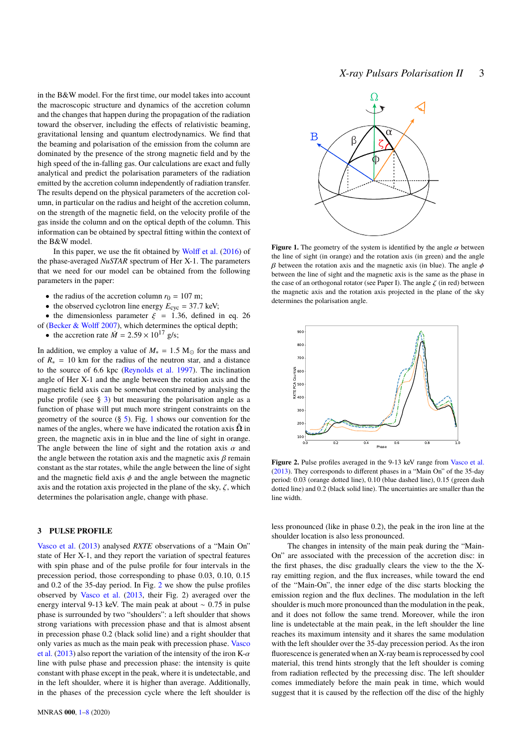*X-ray Pulsars Polarisation II* 3

in the B&W model. For the first time, our model takes into account the macroscopic structure and dynamics of the accretion column and the changes that happen during the propagation of the radiation toward the observer, including the effects of relativistic beaming, gravitational lensing and quantum electrodynamics. We find that the beaming and polarisation of the emission from the column are dominated by the presence of the strong magnetic field and by the high speed of the in-falling gas. Our calculations are exact and fully analytical and predict the polarisation parameters of the radiation emitted by the accretion column independently of radiation transfer. The results depend on the physical parameters of the accretion column, in particular on the radius and height of the accretion column, on the strength of the magnetic field, on the velocity profile of the gas inside the column and on the optical depth of the column. This information can be obtained by spectral fitting within the context of the B&W model.

In this paper, we use the fit obtained by [Wolff et al.](#page-7-19) [\(2016\)](#page-7-19) of the phase-averaged *NuSTAR* spectrum of Her X-1. The parameters that we need for our model can be obtained from the following parameters in the paper:

- the radius of the accretion column  $r_0 = 107$  m;
- the observed cyclotron line energy  $E_{\text{cyc}} = 37.7 \text{ keV}$ ;
- the dimensionless parameter  $\xi = 1.36$ , defined in eq. 26 of [\(Becker & Wolff](#page-6-29) [2007\)](#page-6-29), which determines the optical depth;
- the accretion rate  $\dot{M} = 2.59 \times 10^{17}$  g/s;

In addition, we employ a value of  $M_* = 1.5 M_{\odot}$  for the mass and of  $R<sub>*</sub> = 10$  km for the radius of the neutron star, and a distance to the source of 6.6 kpc [\(Reynolds et al.](#page-7-4) [1997\)](#page-7-4). The inclination angle of Her X-1 and the angle between the rotation axis and the magnetic field axis can be somewhat constrained by analysing the pulse profile (see § [3\)](#page-2-0) but measuring the polarisation angle as a function of phase will put much more stringent constraints on the geometry of the source  $(\S$  [5\)](#page-4-0). Fig. [1](#page-2-1) shows our convention for the names of the angles, where we have indicated the rotation axis  $\hat{\Omega}$  in green, the magnetic axis in in blue and the line of sight in orange. The angle between the line of sight and the rotation axis  $\alpha$  and the angle between the rotation axis and the magnetic axis  $\beta$  remain constant as the star rotates, while the angle between the line of sight and the magnetic field axis  $\phi$  and the angle between the magnetic axis and the rotation axis projected in the plane of the sky,  $\zeta$ , which determines the polarisation angle, change with phase.

## <span id="page-2-0"></span>**3 PULSE PROFILE**

[Vasco et al.](#page-7-7) [\(2013\)](#page-7-7) analysed *RXTE* observations of a "Main On" state of Her X-1, and they report the variation of spectral features with spin phase and of the pulse profile for four intervals in the precession period, those corresponding to phase 0.03, 0.10, 0.15 and 0.2 of the 35-day period. In Fig. [2](#page-2-2) we show the pulse profiles observed by [Vasco et al.](#page-7-7) [\(2013,](#page-7-7) their Fig. 2) averaged over the energy interval 9-13 keV. The main peak at about <sup>∼</sup> <sup>0</sup>.<sup>75</sup> in pulse phase is surrounded by two "shoulders": a left shoulder that shows strong variations with precession phase and that is almost absent in precession phase 0.2 (black solid line) and a right shoulder that only varies as much as the main peak with precession phase. [Vasco](#page-7-7) [et al.](#page-7-7) [\(2013\)](#page-7-7) also report the variation of the intensity of the iron K- $\alpha$ line with pulse phase and precession phase: the intensity is quite constant with phase except in the peak, where it is undetectable, and in the left shoulder, where it is higher than average. Additionally, in the phases of the precession cycle where the left shoulder is



<span id="page-2-1"></span>**Figure 1.** The geometry of the system is identified by the angle  $\alpha$  between the line of sight (in orange) and the rotation axis (in green) and the angle β between the rotation axis and the magnetic axis (in blue). The angle  $φ$ between the line of sight and the magnetic axis is the same as the phase in the case of an orthogonal rotator (see Paper I). The angle  $\zeta$  (in red) between the magnetic axis and the rotation axis projected in the plane of the sky determines the polarisation angle.



<span id="page-2-2"></span>Figure 2. Pulse profiles averaged in the 9-13 keV range from [Vasco et al.](#page-7-7) [\(2013\)](#page-7-7). They corresponds to different phases in a "Main On" of the 35-day period: 0.03 (orange dotted line), 0.10 (blue dashed line), 0.15 (green dash dotted line) and 0.2 (black solid line). The uncertainties are smaller than the line width.

less pronounced (like in phase 0.2), the peak in the iron line at the shoulder location is also less pronounced.

The changes in intensity of the main peak during the "Main-On" are associated with the precession of the accretion disc: in the first phases, the disc gradually clears the view to the the Xray emitting region, and the flux increases, while toward the end of the "Main-On", the inner edge of the disc starts blocking the emission region and the flux declines. The modulation in the left shoulder is much more pronounced than the modulation in the peak, and it does not follow the same trend. Moreover, while the iron line is undetectable at the main peak, in the left shoulder the line reaches its maximum intensity and it shares the same modulation with the left shoulder over the 35-day precession period. As the iron fluorescence is generated when an X-ray beam is reprocessed by cool material, this trend hints strongly that the left shoulder is coming from radiation reflected by the precessing disc. The left shoulder comes immediately before the main peak in time, which would suggest that it is caused by the reflection off the disc of the highly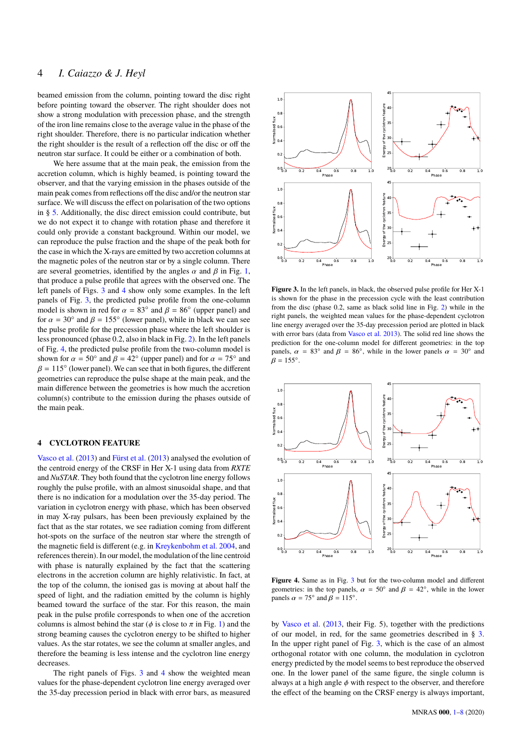## 4 *I. Caiazzo & J. Heyl*

beamed emission from the column, pointing toward the disc right before pointing toward the observer. The right shoulder does not show a strong modulation with precession phase, and the strength of the iron line remains close to the average value in the phase of the right shoulder. Therefore, there is no particular indication whether the right shoulder is the result of a reflection off the disc or off the neutron star surface. It could be either or a combination of both.

We here assume that at the main peak, the emission from the accretion column, which is highly beamed, is pointing toward the observer, and that the varying emission in the phases outside of the main peak comes from reflections off the disc and/or the neutron star surface. We will discuss the effect on polarisation of the two options in § [5.](#page-4-0) Additionally, the disc direct emission could contribute, but we do not expect it to change with rotation phase and therefore it could only provide a constant background. Within our model, we can reproduce the pulse fraction and the shape of the peak both for the case in which the X-rays are emitted by two accretion columns at the magnetic poles of the neutron star or by a single column. There are several geometries, identified by the angles  $\alpha$  and  $\beta$  in Fig. [1,](#page-2-1) that produce a pulse profile that agrees with the observed one. The left panels of Figs. [3](#page-3-0) and [4](#page-3-1) show only some examples. In the left panels of Fig. [3,](#page-3-0) the predicted pulse profile from the one-column model is shown in red for  $\alpha = 83^\circ$  and  $\beta = 86^\circ$  (upper panel) and for  $\alpha = 30^\circ$  and  $\beta = 155^\circ$  (lower panel) while in black we can see for  $\alpha = 30^\circ$  and  $\beta = 155^\circ$  (lower panel), while in black we can see<br>the pulse profile for the precession phase where the left shoulder is the pulse profile for the precession phase where the left shoulder is less pronounced (phase 0.2, also in black in Fig. [2\)](#page-2-2). In the left panels of Fig. [4,](#page-3-1) the predicted pulse profile from the two-column model is shown for  $\alpha = 50^\circ$  and  $\beta = 42^\circ$  (upper panel) and for  $\alpha = 75^\circ$  and  $\beta = 115^\circ$  (lower panel). We can see that in both figures, the different  $\beta = 115^\circ$  (lower panel). We can see that in both figures, the different geometries can reproduce the pulse shape at the main peak and the geometries can reproduce the pulse shape at the main peak, and the main difference between the geometries is how much the accretion column(s) contribute to the emission during the phases outside of the main peak.

## **4 CYCLOTRON FEATURE**

[Vasco et al.](#page-7-7) [\(2013\)](#page-7-7) and [Fürst et al.](#page-6-21) [\(2013\)](#page-6-21) analysed the evolution of the centroid energy of the CRSF in Her X-1 using data from *RXTE* and *NuSTAR*. They both found that the cyclotron line energy follows roughly the pulse profile, with an almost sinusoidal shape, and that there is no indication for a modulation over the 35-day period. The variation in cyclotron energy with phase, which has been observed in may X-ray pulsars, has been been previously explained by the fact that as the star rotates, we see radiation coming from different hot-spots on the surface of the neutron star where the strength of the magnetic field is different (e.g. in [Kreykenbohm et al.](#page-6-15) [2004,](#page-6-15) and references therein). In our model, the modulation of the line centroid with phase is naturally explained by the fact that the scattering electrons in the accretion column are highly relativistic. In fact, at the top of the column, the ionised gas is moving at about half the speed of light, and the radiation emitted by the column is highly beamed toward the surface of the star. For this reason, the main peak in the pulse profile corresponds to when one of the accretion columns is almost behind the star ( $\phi$  is close to  $\pi$  in Fig. [1\)](#page-2-1) and the strong beaming causes the cyclotron energy to be shifted to higher values. As the star rotates, we see the column at smaller angles, and therefore the beaming is less intense and the cyclotron line energy decreases.

The right panels of Figs. [3](#page-3-0) and [4](#page-3-1) show the weighted mean values for the phase-dependent cyclotron line energy averaged over the 35-day precession period in black with error bars, as measured



<span id="page-3-0"></span>**Figure 3.** In the left panels, in black, the observed pulse profile for Her X-1 is shown for the phase in the precession cycle with the least contribution from the disc (phase 0.2, same as black solid line in Fig. [2\)](#page-2-2) while in the right panels, the weighted mean values for the phase-dependent cyclotron line energy averaged over the 35-day precession period are plotted in black with error bars (data from [Vasco et al.](#page-7-7) [2013\)](#page-7-7). The solid red line shows the prediction for the one-column model for different geometries: in the top panels,  $\alpha = 83^\circ$  and  $\beta = 86^\circ$ , while in the lower panels  $\alpha = 30^\circ$  and  $\beta = 155^\circ$  $\beta = 155^\circ.$ 



<span id="page-3-1"></span>**Figure 4.** Same as in Fig. [3](#page-3-0) but for the two-column model and different geometries: in the top panels,  $\alpha = 50^{\circ}$  and  $\beta = 42^{\circ}$ , while in the lower panels  $\alpha = 75^\circ$  and  $\beta = 115^\circ$ .

by [Vasco et al.](#page-7-7) [\(2013,](#page-7-7) their Fig. 5), together with the predictions of our model, in red, for the same geometries described in § [3.](#page-2-0) In the upper right panel of Fig. [3,](#page-3-0) which is the case of an almost orthogonal rotator with one column, the modulation in cyclotron energy predicted by the model seems to best reproduce the observed one. In the lower panel of the same figure, the single column is always at a high angle  $\phi$  with respect to the observer, and therefore the effect of the beaming on the CRSF energy is always important,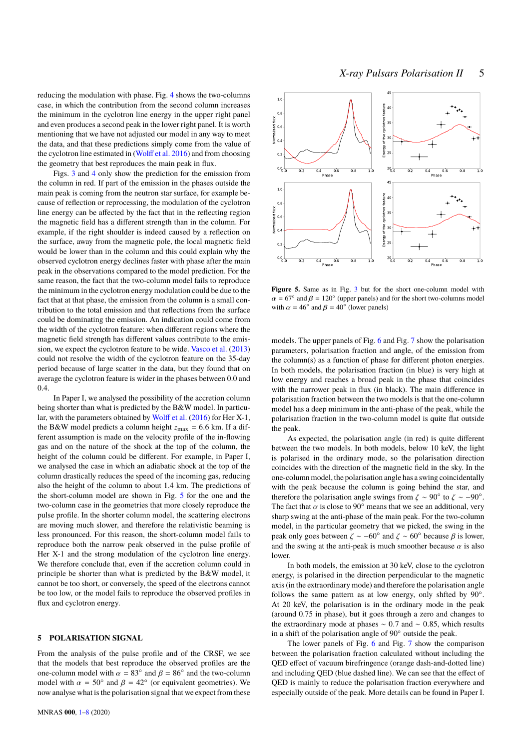reducing the modulation with phase. Fig. [4](#page-3-1) shows the two-columns case, in which the contribution from the second column increases the minimum in the cyclotron line energy in the upper right panel and even produces a second peak in the lower right panel. It is worth mentioning that we have not adjusted our model in any way to meet the data, and that these predictions simply come from the value of the cyclotron line estimated in [\(Wolff et al.](#page-7-19) [2016\)](#page-7-19) and from choosing the geometry that best reproduces the main peak in flux.

Figs. [3](#page-3-0) and [4](#page-3-1) only show the prediction for the emission from the column in red. If part of the emission in the phases outside the main peak is coming from the neutron star surface, for example because of reflection or reprocessing, the modulation of the cyclotron line energy can be affected by the fact that in the reflecting region the magnetic field has a different strength than in the column. For example, if the right shoulder is indeed caused by a reflection on the surface, away from the magnetic pole, the local magnetic field would be lower than in the column and this could explain why the observed cyclotron energy declines faster with phase after the main peak in the observations compared to the model prediction. For the same reason, the fact that the two-column model fails to reproduce the minimum in the cyclotron energy modulation could be due to the fact that at that phase, the emission from the column is a small contribution to the total emission and that reflections from the surface could be dominating the emission. An indication could come from the width of the cyclotron feature: when different regions where the magnetic field strength has different values contribute to the emission, we expect the cyclotron feature to be wide. [Vasco et al.](#page-7-7) [\(2013\)](#page-7-7) could not resolve the width of the cyclotron feature on the 35-day period because of large scatter in the data, but they found that on average the cyclotron feature is wider in the phases between 0.0 and 0.4.

In Paper I, we analysed the possibility of the accretion column being shorter than what is predicted by the B&W model. In particular, with the parameters obtained by [Wolff et al.](#page-7-19) [\(2016\)](#page-7-19) for Her X-1, the B&W model predicts a column height  $z_{\text{max}} = 6.6$  km. If a different assumption is made on the velocity profile of the in-flowing gas and on the nature of the shock at the top of the column, the height of the column could be different. For example, in Paper I, we analysed the case in which an adiabatic shock at the top of the column drastically reduces the speed of the incoming gas, reducing also the height of the column to about 1.4 km. The predictions of the short-column model are shown in Fig. [5](#page-4-1) for the one and the two-column case in the geometries that more closely reproduce the pulse profile. In the shorter column model, the scattering electrons are moving much slower, and therefore the relativistic beaming is less pronounced. For this reason, the short-column model fails to reproduce both the narrow peak observed in the pulse profile of Her X-1 and the strong modulation of the cyclotron line energy. We therefore conclude that, even if the accretion column could in principle be shorter than what is predicted by the B&W model, it cannot be too short, or conversely, the speed of the electrons cannot be too low, or the model fails to reproduce the observed profiles in flux and cyclotron energy.

#### <span id="page-4-0"></span>**5 POLARISATION SIGNAL**

From the analysis of the pulse profile and of the CRSF, we see that the models that best reproduce the observed profiles are the one-column model with  $\alpha = 83^\circ$  and  $\beta = 86^\circ$  and the two-column<br>model with  $\alpha = 50^\circ$  and  $\beta = 42^\circ$  (or equivalent geometries). We model with  $\alpha = 50^\circ$  and  $\beta = 42^\circ$  (or equivalent geometries). We<br>now analyse what is the polarisation signal that we expect from these now analyse what is the polarisation signal that we expect from these



<span id="page-4-1"></span>Figure 5. Same as in Fig. [3](#page-3-0) but for the short one-column model with  $\alpha = 67^\circ$  and  $\beta = 120^\circ$  (upper panels) and for the short two-columns model<br>with  $\alpha = 46^\circ$  and  $\beta = 40^\circ$  (lower panels) with  $\alpha = 46^\circ$  and  $\beta = 40^\circ$  (lower panels)

models. The upper panels of Fig. [6](#page-5-0) and Fig. [7](#page-5-1) show the polarisation parameters, polarisation fraction and angle, of the emission from the column(s) as a function of phase for different photon energies. In both models, the polarisation fraction (in blue) is very high at low energy and reaches a broad peak in the phase that coincides with the narrower peak in flux (in black). The main difference in polarisation fraction between the two models is that the one-column model has a deep minimum in the anti-phase of the peak, while the polarisation fraction in the two-column model is quite flat outside the peak.

As expected, the polarisation angle (in red) is quite different between the two models. In both models, below 10 keV, the light is polarised in the ordinary mode, so the polarisation direction coincides with the direction of the magnetic field in the sky. In the one-column model, the polarisation angle has a swing coincidentally with the peak because the column is going behind the star, and therefore the polarisation angle swings from  $\zeta \sim 90^\circ$  to  $\zeta \sim -90^\circ$ .<br>The fact that  $\alpha$  is close to 90° means that we see an additional very The fact that  $\alpha$  is close to 90 $\degree$  means that we see an additional, very sharp swing at the anti-phase of the main peak. For the two-column model, in the particular geometry that we picked, the swing in the peak only goes between  $\zeta \sim -60^\circ$  and  $\zeta \sim 60^\circ$  because  $\beta$  is lower, and the swing at the anti-peak is much smoother because  $\alpha$  is also and the swing at the anti-peak is much smoother because  $\alpha$  is also lower.

In both models, the emission at 30 keV, close to the cyclotron energy, is polarised in the direction perpendicular to the magnetic axis (in the extraordinary mode) and therefore the polarisation angle follows the same pattern as at low energy, only shfted by  $90^\circ$ . At 20 keV, the polarisation is in the ordinary mode in the peak (around 0.75 in phase), but it goes through a zero and changes to the extraordinary mode at phases  $\sim 0.7$  and  $\sim 0.85$ , which results in a shift of the polarisation angle of 90◦ outside the peak.

The lower panels of Fig. [6](#page-5-0) and Fig. [7](#page-5-1) show the comparison between the polarisation fraction calculated without including the QED effect of vacuum birefringence (orange dash-and-dotted line) and including QED (blue dashed line). We can see that the effect of QED is mainly to reduce the polarisation fraction everywhere and especially outside of the peak. More details can be found in Paper I.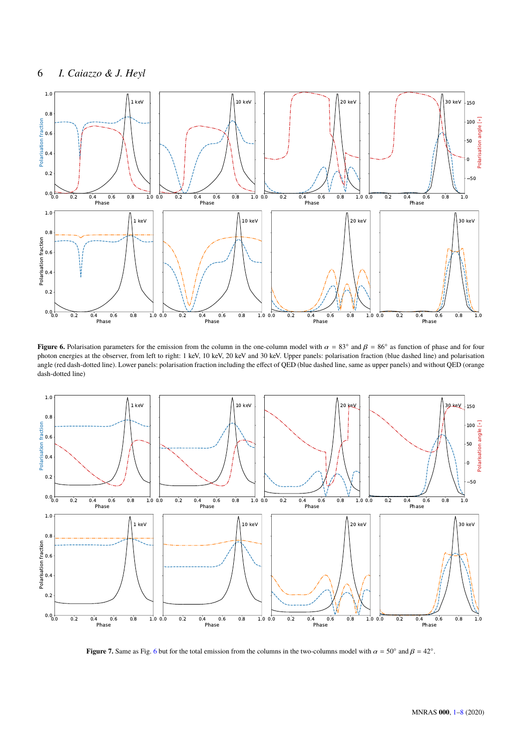

<span id="page-5-0"></span>**Figure 6.** Polarisation parameters for the emission from the column in the one-column model with  $\alpha = 83^\circ$  and  $\beta = 86^\circ$  as function of phase and for four phase and for four photon apertises at the observer from left t photon energies at the observer, from left to right: 1 keV, 10 keV, 20 keV and 30 keV. Upper panels: polarisation fraction (blue dashed line) and polarisation angle (red dash-dotted line). Lower panels: polarisation fraction including the effect of QED (blue dashed line, same as upper panels) and without QED (orange dash-dotted line)



<span id="page-5-1"></span>**Figure 7.** Same as Fig. [6](#page-5-0) but for the total emission from the columns in the two-columns model with  $\alpha = 50^\circ$  and  $\beta = 42^\circ$ .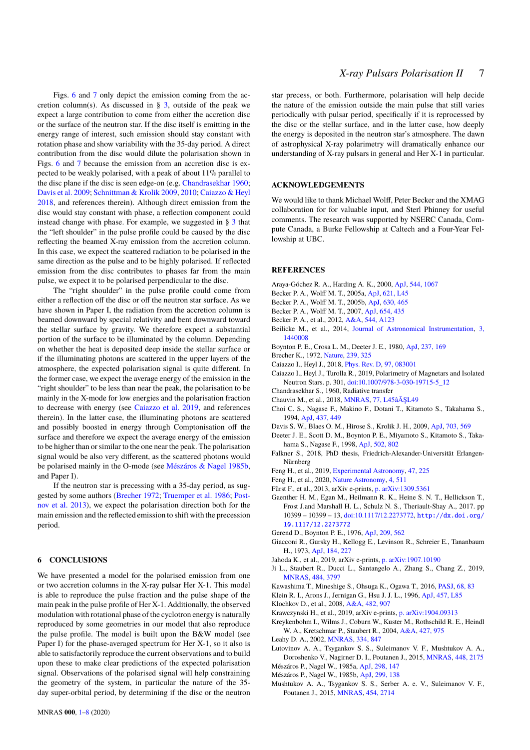Figs. [6](#page-5-0) and [7](#page-5-1) only depict the emission coming from the accretion column(s). As discussed in  $\S$  [3,](#page-2-0) outside of the peak we expect a large contribution to come from either the accretion disc or the surface of the neutron star. If the disc itself is emitting in the energy range of interest, such emission should stay constant with rotation phase and show variability with the 35-day period. A direct contribution from the disc would dilute the polarisation shown in Figs. [6](#page-5-0) and [7](#page-5-1) because the emission from an accretion disc is expected to be weakly polarised, with a peak of about 11% parallel to the disc plane if the disc is seen edge-on (e.g. [Chandrasekhar](#page-6-30) [1960;](#page-6-30) [Davis et al.](#page-6-31) [2009;](#page-6-31) [Schnittman & Krolik](#page-7-22) [2009,](#page-7-22) [2010;](#page-7-23) [Caiazzo & Heyl](#page-6-32) [2018,](#page-6-32) and references therein). Although direct emission from the disc would stay constant with phase, a reflection component could instead change with phase. For example, we suggested in § [3](#page-2-0) that the "left shoulder" in the pulse profile could be caused by the disc reflecting the beamed X-ray emission from the accretion column. In this case, we expect the scattered radiation to be polarised in the same direction as the pulse and to be highly polarised. If reflected emission from the disc contributes to phases far from the main pulse, we expect it to be polarised perpendicular to the disc.

The "right shoulder" in the pulse profile could come from either a reflection off the disc or off the neutron star surface. As we have shown in Paper I, the radiation from the accretion column is beamed downward by special relativity and bent downward toward the stellar surface by gravity. We therefore expect a substantial portion of the surface to be illuminated by the column. Depending on whether the heat is deposited deep inside the stellar surface or if the illuminating photons are scattered in the upper layers of the atmosphere, the expected polarisation signal is quite different. In the former case, we expect the average energy of the emission in the "right shoulder" to be less than near the peak, the polarisation to be mainly in the X-mode for low energies and the polarisation fraction to decrease with energy (see [Caiazzo et al.](#page-6-33) [2019,](#page-6-33) and references therein). In the latter case, the illuminating photons are scattered and possibly boosted in energy through Comptonisation off the surface and therefore we expect the average energy of the emission to be higher than or similar to the one near the peak. The polarisation signal would be also very different, as the scattered photons would be polarised mainly in the O-mode (see [Mészáros & Nagel](#page-6-24) [1985b,](#page-6-24) and Paper I).

If the neutron star is precessing with a 35-day period, as suggested by some authors [\(Brecher](#page-6-34) [1972;](#page-6-34) [Truemper et al.](#page-7-8) [1986;](#page-7-8) [Post](#page-7-10)[nov et al.](#page-7-10) [2013\)](#page-7-10), we expect the polarisation direction both for the main emission and the reflected emission to shift with the precession period.

#### <span id="page-6-0"></span>**6 CONCLUSIONS**

We have presented a model for the polarised emission from one or two accretion columns in the X-ray pulsar Her X-1. This model is able to reproduce the pulse fraction and the pulse shape of the main peak in the pulse profile of Her X-1. Additionally, the observed modulation with rotational phase of the cyclotron energy is naturally reproduced by some geometries in our model that also reproduce the pulse profile. The model is built upon the B&W model (see Paper I) for the phase-averaged spectrum for Her X-1, so it also is able to satisfactorily reproduce the current observations and to build upon these to make clear predictions of the expected polarisation signal. Observations of the polarised signal will help constraining the geometry of the system, in particular the nature of the 35 day super-orbital period, by determining if the disc or the neutron star precess, or both. Furthermore, polarisation will help decide the nature of the emission outside the main pulse that still varies periodically with pulsar period, specifically if it is reprocessed by the disc or the stellar surface, and in the latter case, how deeply the energy is deposited in the neutron star's atmosphere. The dawn of astrophysical X-ray polarimetry will dramatically enhance our understanding of X-ray pulsars in general and Her X-1 in particular.

#### **ACKNOWLEDGEMENTS**

We would like to thank Michael Wolff, Peter Becker and the XMAG collaboration for for valuable input, and Sterl Phinney for useful comments. The research was supported by NSERC Canada, Compute Canada, a Burke Fellowship at Caltech and a Four-Year Fellowship at UBC.

#### **REFERENCES**

- <span id="page-6-14"></span>Araya-Góchez R. A., Harding A. K., 2000, [ApJ,](http://dx.doi.org/10.1086/317224) [544, 1067](https://ui.adsabs.harvard.edu/abs/2000ApJ...544.1067A)
- <span id="page-6-27"></span>Becker P. A., Wolff M. T., 2005a, [ApJ,](http://dx.doi.org/10.1086/428927) [621, L45](https://ui.adsabs.harvard.edu/abs/2005ApJ...621L..45B)
- <span id="page-6-28"></span>Becker P. A., Wolff M. T., 2005b, [ApJ,](http://dx.doi.org/10.1086/431720) [630, 465](https://ui.adsabs.harvard.edu/abs/2005ApJ...630..465B)
- <span id="page-6-29"></span>Becker P. A., Wolff M. T., 2007, [ApJ,](http://dx.doi.org/10.1086/509108) [654, 435](https://ui.adsabs.harvard.edu/abs/2007ApJ...654..435B)
- <span id="page-6-16"></span>Becker P. A., et al., 2012, [A&A,](http://dx.doi.org/10.1051/0004-6361/201219065) [544, A123](https://ui.adsabs.harvard.edu/abs/2012A&A...544A.123B)
- <span id="page-6-2"></span>Beilicke M., et al., 2014, [Journal of Astronomical Instrumentation,](http://dx.doi.org/10.1142/S225117171440008X) [3,](http://adsabs.harvard.edu/abs/2014JAI.....340008B) [1440008](http://adsabs.harvard.edu/abs/2014JAI.....340008B)
- <span id="page-6-10"></span>Boynton P. E., Crosa L. M., Deeter J. E., 1980, [ApJ,](http://dx.doi.org/10.1086/157856) [237, 169](https://ui.adsabs.harvard.edu/abs/1980ApJ...237..169B)
- <span id="page-6-34"></span>Brecher K., 1972, [Nature,](http://dx.doi.org/10.1038/239325a0) [239, 325](https://ui.adsabs.harvard.edu/abs/1972Natur.239..325B)
- <span id="page-6-32"></span>Caiazzo I., Heyl J., 2018, [Phys. Rev. D,](http://dx.doi.org/10.1103/PhysRevD.97.083001) [97, 083001](http://adsabs.harvard.edu/abs/2018PhRvD..97h3001C)
- <span id="page-6-33"></span>Caiazzo I., Heyl J., Turolla R., 2019, Polarimetry of Magnetars and Isolated Neutron Stars. p. 301, [doi:10.1007/978-3-030-19715-5\\_12](http://dx.doi.org/10.1007/978-3-030-19715-5_12)
- <span id="page-6-30"></span>Chandrasekhar S., 1960, Radiative transfer
- <span id="page-6-3"></span>Chauvin M., et al., 2018, [MNRAS,](http://dx.doi.org/10.1093/mnrasl/sly027) [77, L45âĂŞL49](http://adsabs.harvard.edu/abs/2018MNRAS.tmpL..30C)
- <span id="page-6-20"></span>Choi C. S., Nagase F., Makino F., Dotani T., Kitamoto S., Takahama S., 1994, [ApJ,](http://dx.doi.org/10.1086/175008) [437, 449](https://ui.adsabs.harvard.edu/abs/1994ApJ...437..449C)
- <span id="page-6-31"></span>Davis S. W., Blaes O. M., Hirose S., Krolik J. H., 2009, [ApJ,](http://dx.doi.org/10.1088/0004-637X/703/1/569) [703, 569](http://adsabs.harvard.edu/abs/2009ApJ...703..569D)
- <span id="page-6-12"></span>Deeter J. E., Scott D. M., Boynton P. E., Miyamoto S., Kitamoto S., Takahama S., Nagase F., 1998, [ApJ,](http://dx.doi.org/10.1086/305910) [502, 802](https://ui.adsabs.harvard.edu/abs/1998ApJ...502..802D)
- <span id="page-6-22"></span>Falkner S., 2018, PhD thesis, Friedrich-Alexander-Universität Erlangen-Nürnberg
- <span id="page-6-6"></span>Feng H., et al., 2019, [Experimental Astronomy,](http://dx.doi.org/10.1007/s10686-019-09625-z) [47, 225](https://ui.adsabs.harvard.edu/abs/2019ExA....47..225F)
- <span id="page-6-7"></span>Feng H., et al., 2020, [Nature Astronomy,](http://dx.doi.org/10.1038/s41550-020-1088-1) [4, 511](https://ui.adsabs.harvard.edu/abs/2020NatAs.tmp..100F)
- <span id="page-6-21"></span>Fürst F., et al., 2013, arXiv e-prints, [p. arXiv:1309.5361](https://ui.adsabs.harvard.edu/abs/2013arXiv1309.5361F)
- <span id="page-6-1"></span>Gaenther H. M., Egan M., Heilmann R. K., Heine S. N. T., Hellickson T., Frost J.and Marshall H. L., Schulz N. S., Theriault-Shay A., 2017. pp 10399 – 10399 – 13, [doi:10.1117/12.2273772,](http://dx.doi.org/10.1117/12.2273772) [http://dx.doi.org/](http://dx.doi.org/10.1117/12.2273772) [10.1117/12.2273772](http://dx.doi.org/10.1117/12.2273772)
- <span id="page-6-9"></span>Gerend D., Boynton P. E., 1976, [ApJ,](http://dx.doi.org/10.1086/154751) [209, 562](https://ui.adsabs.harvard.edu/abs/1976ApJ...209..562G)
- <span id="page-6-8"></span>Giacconi R., Gursky H., Kellogg E., Levinson R., Schreier E., Tananbaum H., 1973, [ApJ,](http://dx.doi.org/10.1086/152321) [184, 227](https://ui.adsabs.harvard.edu/abs/1973ApJ...184..227G)
- <span id="page-6-5"></span>Jahoda K., et al., 2019, arXiv e-prints, [p. arXiv:1907.10190](https://ui.adsabs.harvard.edu/abs/2019arXiv190710190J)
- <span id="page-6-17"></span>Ji L., Staubert R., Ducci L., Santangelo A., Zhang S., Chang Z., 2019, [MNRAS,](http://dx.doi.org/10.1093/mnras/stz264) [484, 3797](https://ui.adsabs.harvard.edu/abs/2019MNRAS.484.3797J)
- <span id="page-6-26"></span>Kawashima T., Mineshige S., Ohsuga K., Ogawa T., 2016, [PASJ,](http://dx.doi.org/10.1093/pasj/psw075) [68, 83](https://ui.adsabs.harvard.edu/abs/2016PASJ...68...83K)
- <span id="page-6-25"></span>Klein R. I., Arons J., Jernigan G., Hsu J. J. L., 1996, [ApJ,](http://dx.doi.org/10.1086/309897) [457, L85](https://ui.adsabs.harvard.edu/abs/1996ApJ...457L..85K)
- <span id="page-6-11"></span>Klochkov D., et al., 2008, [A&A,](http://dx.doi.org/10.1051/0004-6361:20078953) [482, 907](https://ui.adsabs.harvard.edu/abs/2008A&A...482..907K)
- <span id="page-6-4"></span>Krawczynski H., et al., 2019, arXiv e-prints, [p. arXiv:1904.09313](https://ui.adsabs.harvard.edu/abs/2019arXiv190409313K)
- <span id="page-6-15"></span>Kreykenbohm I., Wilms J., Coburn W., Kuster M., Rothschild R. E., Heindl W. A., Kretschmar P., Staubert R., 2004, [A&A,](http://dx.doi.org/10.1051/0004-6361:20035836) [427, 975](https://ui.adsabs.harvard.edu/abs/2004A&A...427..975K)
- <span id="page-6-13"></span>Leahy D. A., 2002, [MNRAS,](http://dx.doi.org/10.1046/j.1365-8711.2002.05547.x) [334, 847](https://ui.adsabs.harvard.edu/abs/2002MNRAS.334..847L)
- <span id="page-6-19"></span>Lutovinov A. A., Tsygankov S. S., Suleimanov V. F., Mushtukov A. A., Doroshenko V., Nagirner D. I., Poutanen J., 2015, [MNRAS,](http://dx.doi.org/10.1093/mnras/stv125) [448, 2175](https://ui.adsabs.harvard.edu/abs/2015MNRAS.448.2175L) Mészáros P., Nagel W., 1985a, [ApJ,](http://dx.doi.org/10.1086/163594) [298, 147](http://adsabs.harvard.edu/abs/1985ApJ...298..147M)
- <span id="page-6-24"></span><span id="page-6-23"></span>Mészáros P., Nagel W., 1985b, [ApJ,](http://dx.doi.org/10.1086/163687) [299, 138](https://ui.adsabs.harvard.edu/abs/1985ApJ...299..138M)
- <span id="page-6-18"></span>Mushtukov A. A., Tsygankov S. S., Serber A. e. V., Suleimanov V. F., Poutanen J., 2015, [MNRAS,](http://dx.doi.org/10.1093/mnras/stv2182) [454, 2714](https://ui.adsabs.harvard.edu/abs/2015MNRAS.454.2714M)